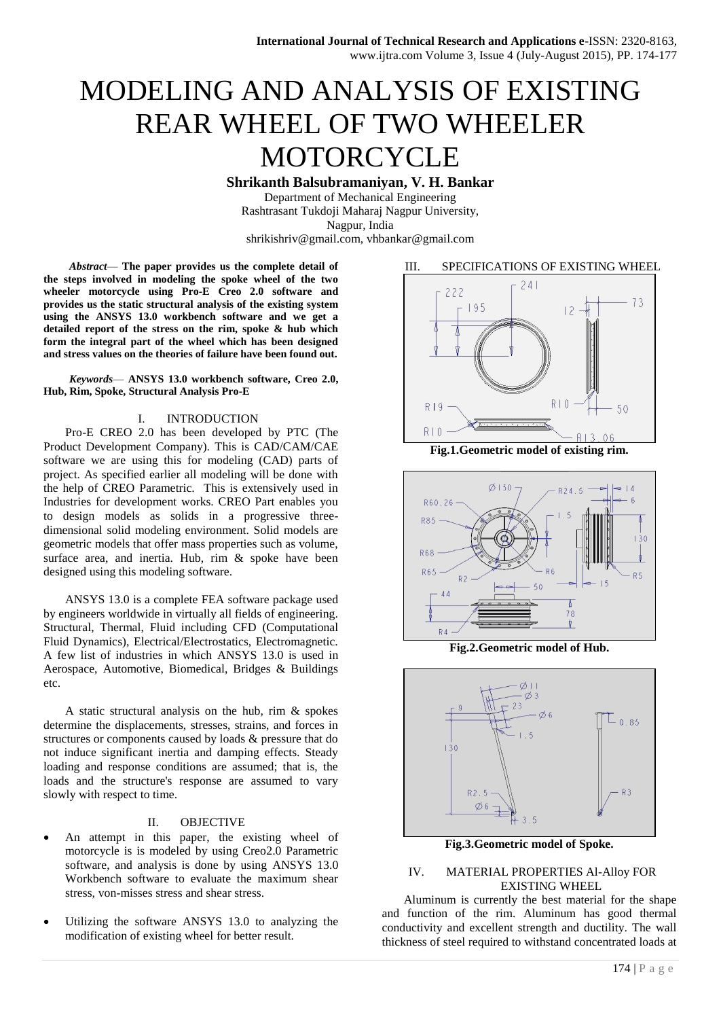# MODELING AND ANALYSIS OF EXISTING REAR WHEEL OF TWO WHEELER **MOTORCYCLE**

**Shrikanth Balsubramaniyan, V. H. Bankar**

Department of Mechanical Engineering Rashtrasant Tukdoji Maharaj Nagpur University, Nagpur, India shrikishriv@gmail.com, vhbankar@gmail.com

*Abstract*— **The paper provides us the complete detail of the steps involved in modeling the spoke wheel of the two wheeler motorcycle using Pro-E Creo 2.0 software and provides us the static structural analysis of the existing system using the ANSYS 13.0 workbench software and we get a detailed report of the stress on the rim, spoke & hub which form the integral part of the wheel which has been designed and stress values on the theories of failure have been found out.**

*Keywords*— **ANSYS 13.0 workbench software, Creo 2.0, Hub, Rim, Spoke, Structural Analysis Pro-E**

# I. INTRODUCTION

Pro-E CREO 2.0 has been developed by PTC (The Product Development Company). This is CAD/CAM/CAE software we are using this for modeling (CAD) parts of project. As specified earlier all modeling will be done with the help of CREO Parametric. This is extensively used in Industries for development works. CREO Part enables you to design models as solids in a progressive threedimensional solid modeling environment. Solid models are geometric models that offer mass properties such as volume, surface area, and inertia. Hub, rim & spoke have been designed using this modeling software.

ANSYS 13.0 is a complete FEA software package used by engineers worldwide in virtually all fields of engineering. Structural, Thermal, Fluid including CFD (Computational Fluid Dynamics), Electrical/Electrostatics, Electromagnetic. A few list of industries in which ANSYS 13.0 is used in Aerospace, Automotive, Biomedical, Bridges & Buildings etc.

A static structural analysis on the hub, rim & spokes determine the displacements, stresses, strains, and forces in structures or components caused by loads & pressure that do not induce significant inertia and damping effects. Steady loading and response conditions are assumed; that is, the loads and the structure's response are assumed to vary slowly with respect to time.

# II. OBJECTIVE

- An attempt in this paper, the existing wheel of motorcycle is is modeled by using Creo2.0 Parametric software, and analysis is done by using ANSYS 13.0 Workbench software to evaluate the maximum shear stress, von-misses stress and shear stress.
- Utilizing the software ANSYS 13.0 to analyzing the modification of existing wheel for better result.

# III. SPECIFICATIONS OF EXISTING WHEEL



**Fig.1.Geometric model of existing rim.**



**Fig.2.Geometric model of Hub.**



**Fig.3.Geometric model of Spoke.**

# IV. MATERIAL PROPERTIES Al-Alloy FOR EXISTING WHEEL

Aluminum is currently the best material for the shape and function of the rim. Aluminum has good thermal conductivity and excellent strength and ductility. The wall thickness of steel required to withstand concentrated loads at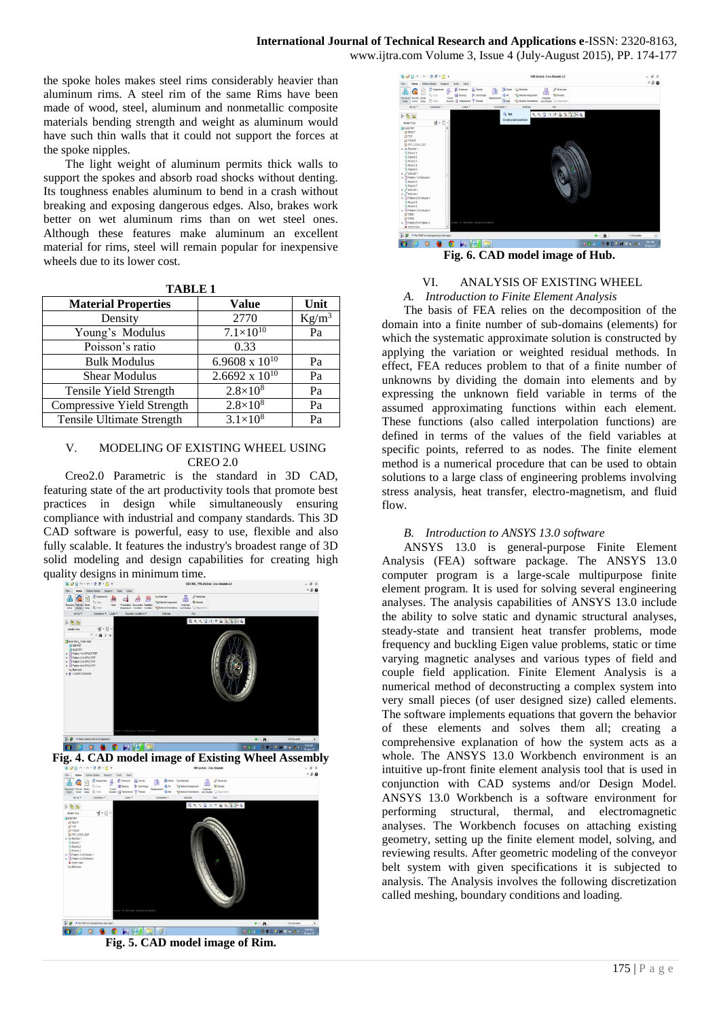the spoke holes makes steel rims considerably heavier than aluminum rims. A steel rim of the same Rims have been made of wood, steel, aluminum and nonmetallic composite materials bending strength and weight as aluminum would have such thin walls that it could not support the forces at the spoke nipples.

The light weight of aluminum permits thick walls to support the spokes and absorb road shocks without denting. Its toughness enables aluminum to bend in a crash without breaking and exposing dangerous edges. Also, brakes work better on wet aluminum rims than on wet steel ones. Although these features make aluminum an excellent material for rims, steel will remain popular for inexpensive wheels due to its lower cost.

| ш |
|---|
|---|

| <b>Material Properties</b> | <b>Value</b>            | Unit     |
|----------------------------|-------------------------|----------|
| Density                    | 2770                    | $Kg/m^3$ |
| Young's Modulus            | $7.1 \times 10^{10}$    | Pa       |
| Poisson's ratio            | 0.33                    |          |
| <b>Bulk Modulus</b>        | 6.9608 x $10^{10}$      | Pa       |
| <b>Shear Modulus</b>       | $2.6692 \times 10^{10}$ | Pa       |
| Tensile Yield Strength     | $2.8 \times 10^8$       | Pa       |
| Compressive Yield Strength | $2.8 \times 10^{8}$     | Pa       |
| Tensile Ultimate Strength  | $3.1 \times 10^{8}$     | Pa       |

# V. MODELING OF EXISTING WHEEL USING CREO 2.0

Creo2.0 Parametric is the standard in 3D CAD, featuring state of the art productivity tools that promote best practices in design while simultaneously ensuring compliance with industrial and company standards. This 3D CAD software is powerful, easy to use, flexible and also fully scalable. It features the industry's broadest range of 3D solid modeling and design capabilities for creating high quality designs in minimum time.





**Fig. 5. CAD model image of Rim.**



#### VI. ANALYSIS OF EXISTING WHEEL *A. Introduction to Finite Element Analysis*

The basis of FEA relies on the decomposition of the domain into a finite number of sub-domains (elements) for which the systematic approximate solution is constructed by applying the variation or weighted residual methods. In effect, FEA reduces problem to that of a finite number of unknowns by dividing the domain into elements and by expressing the unknown field variable in terms of the assumed approximating functions within each element. These functions (also called interpolation functions) are defined in terms of the values of the field variables at specific points, referred to as nodes. The finite element method is a numerical procedure that can be used to obtain solutions to a large class of engineering problems involving stress analysis, heat transfer, electro-magnetism, and fluid flow.

# *B. Introduction to ANSYS 13.0 software*

ANSYS 13.0 is general-purpose Finite Element Analysis (FEA) software package. The ANSYS 13.0 computer program is a large-scale multipurpose finite element program. It is used for solving several engineering analyses. The analysis capabilities of ANSYS 13.0 include the ability to solve static and dynamic structural analyses, steady-state and transient heat transfer problems, mode frequency and buckling Eigen value problems, static or time varying magnetic analyses and various types of field and couple field application. Finite Element Analysis is a numerical method of deconstructing a complex system into very small pieces (of user designed size) called elements. The software implements equations that govern the behavior of these elements and solves them all; creating a comprehensive explanation of how the system acts as a whole. The ANSYS 13.0 Workbench environment is an intuitive up-front finite element analysis tool that is used in conjunction with CAD systems and/or Design Model. ANSYS 13.0 Workbench is a software environment for performing structural, thermal, and electromagnetic analyses. The Workbench focuses on attaching existing geometry, setting up the finite element model, solving, and reviewing results. After geometric modeling of the conveyor belt system with given specifications it is subjected to analysis. The Analysis involves the following discretization called meshing, boundary conditions and loading.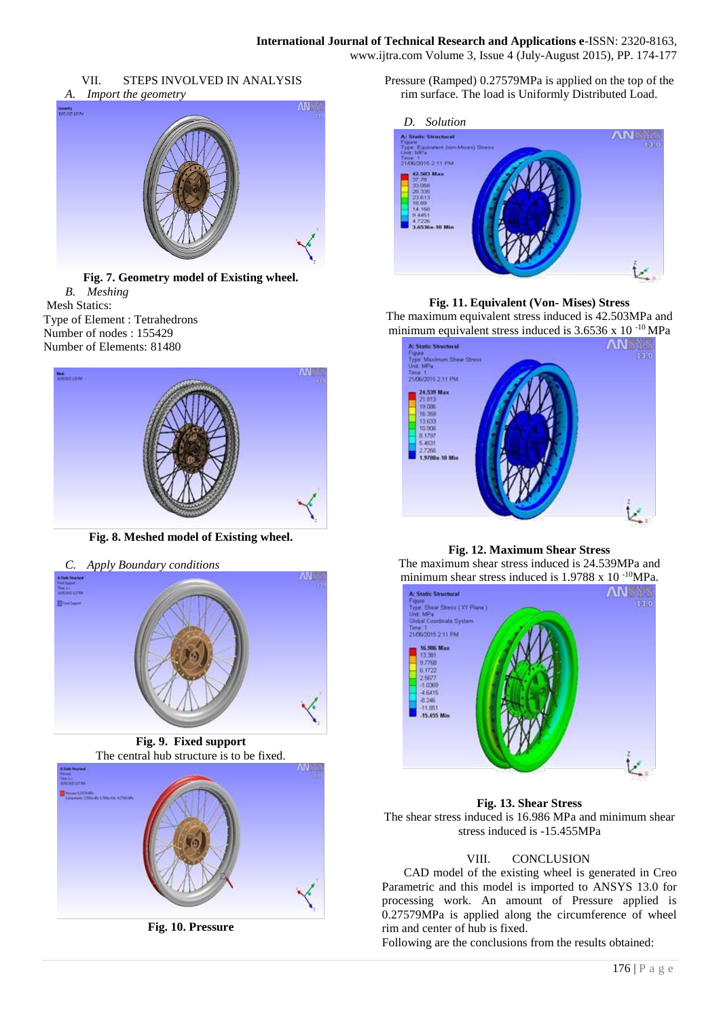



**Fig. 7. Geometry model of Existing wheel.** *B. Meshing* Mesh Statics: Type of Element : Tetrahedrons Number of nodes : 155429 Number of Elements: 81480



**Fig. 8. Meshed model of Existing wheel.**





**Fig. 10. Pressure**

Pressure (Ramped) 0.27579MPa is applied on the top of the rim surface. The load is Uniformly Distributed Load.



**Fig. 11. Equivalent (Von- Mises) Stress**

The maximum equivalent stress induced is 42.503MPa and minimum equivalent stress induced is  $3.6536 \times 10^{-10}$  MPa



**Fig. 12. Maximum Shear Stress**

The maximum shear stress induced is 24.539MPa and minimum shear stress induced is 1.9788 x 10<sup>-10</sup>MPa.



**Fig. 13. Shear Stress** The shear stress induced is 16.986 MPa and minimum shear stress induced is -15.455MPa

# VIII. CONCLUSION

CAD model of the existing wheel is generated in Creo Parametric and this model is imported to ANSYS 13.0 for processing work. An amount of Pressure applied is 0.27579MPa is applied along the circumference of wheel rim and center of hub is fixed.

Following are the conclusions from the results obtained: